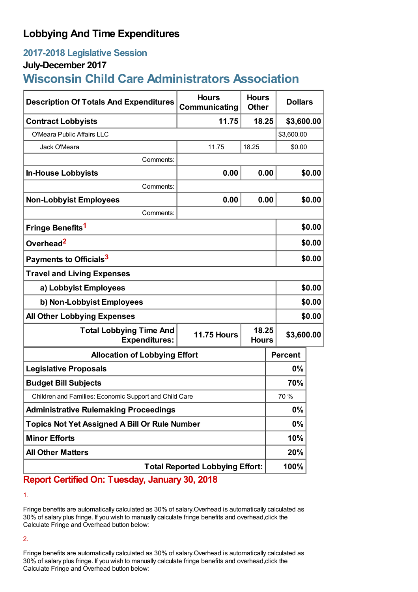## **Lobbying And Time Expenditures**

## **2017-2018 Legislative Session**

### **July-December 2017**

# **Wisconsin Child Care Administrators Association**

| <b>Description Of Totals And Expenditures</b>          | <b>Hours</b><br>Communicating               | <b>Hours</b><br><b>Other</b> |                | <b>Dollars</b> |  |
|--------------------------------------------------------|---------------------------------------------|------------------------------|----------------|----------------|--|
| <b>Contract Lobbyists</b>                              | 11.75                                       | 18.25                        |                | \$3,600.00     |  |
| O'Meara Public Affairs LLC                             |                                             |                              | \$3,600.00     |                |  |
| Jack O'Meara                                           | 11.75                                       | 18.25                        | \$0.00         |                |  |
| Comments:                                              |                                             |                              |                |                |  |
| <b>In-House Lobbyists</b>                              | 0.00                                        | 0.00                         |                | \$0.00         |  |
| Comments:                                              |                                             |                              |                |                |  |
| <b>Non-Lobbyist Employees</b>                          | 0.00                                        | 0.00                         |                | \$0.00         |  |
| Comments:                                              |                                             |                              |                |                |  |
| Fringe Benefits <sup>1</sup>                           |                                             |                              | \$0.00         |                |  |
| Overhead <sup>2</sup>                                  |                                             |                              |                | \$0.00         |  |
| Payments to Officials <sup>3</sup>                     |                                             |                              |                | \$0.00         |  |
| <b>Travel and Living Expenses</b>                      |                                             |                              |                |                |  |
| a) Lobbyist Employees                                  |                                             |                              |                | \$0.00         |  |
| b) Non-Lobbyist Employees                              |                                             |                              |                | \$0.00         |  |
| <b>All Other Lobbying Expenses</b>                     |                                             |                              |                | \$0.00         |  |
| <b>Total Lobbying Time And</b><br><b>Expenditures:</b> | 18.25<br><b>11.75 Hours</b><br><b>Hours</b> |                              |                | \$3,600.00     |  |
| <b>Allocation of Lobbying Effort</b>                   |                                             |                              | <b>Percent</b> |                |  |
| <b>Legislative Proposals</b>                           |                                             |                              | $0\%$          |                |  |
| <b>Budget Bill Subjects</b>                            |                                             |                              | 70%            |                |  |
| Children and Families: Economic Support and Child Care |                                             |                              | 70 %           |                |  |
| <b>Administrative Rulemaking Proceedings</b>           |                                             |                              | 0%             |                |  |
| <b>Topics Not Yet Assigned A Bill Or Rule Number</b>   |                                             |                              | 0%             |                |  |
| <b>Minor Efforts</b>                                   |                                             |                              | 10%            |                |  |
| <b>All Other Matters</b>                               |                                             |                              | 20%            |                |  |
| <b>Total Reported Lobbying Effort:</b>                 |                                             |                              | 100%           |                |  |

## **Report Certified On: Tuesday, January 30, 2018**

1.

Fringe benefits are automatically calculated as 30% of salary.Overhead is automatically calculated as 30% of salary plus fringe. If you wish to manually calculate fringe benefits and overhead,click the Calculate Fringe and Overhead button below:

2.

Fringe benefits are automatically calculated as 30% of salary.Overhead is automatically calculated as 30% of salary plus fringe. If you wish to manually calculate fringe benefits and overhead,click the Calculate Fringe and Overhead button below: